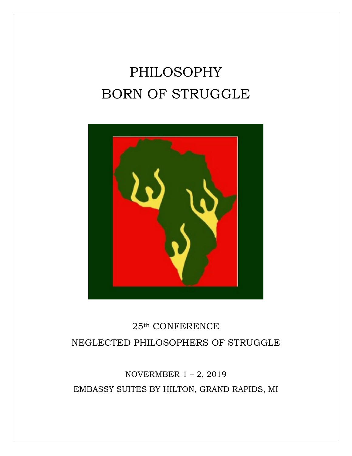# PHILOSOPHY BORN OF STRUGGLE



# 25th CONFERENCE NEGLECTED PHILOSOPHERS OF STRUGGLE

# NOVERMBER  $1 - 2$ , 2019 EMBASSY SUITES BY HILTON, GRAND RAPIDS, MI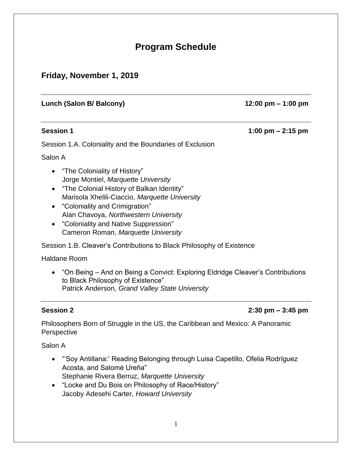## **Program Schedule**

### **Friday, November 1, 2019**

#### **Lunch (Salon B/ Balcony) 12:00 pm – 1:00 pm**

**Session 1 1:00 pm – 2:15 pm**

Session 1.A. Coloniality and the Boundaries of Exclusion

Salon A

- "The Coloniality of History" Jorge Montiel, *Marquette University*
- "The Colonial History of Balkan Identity" Marisola Xhelili-Ciaccio, *Marquette University*
- "Coloniality and Crimigration" Alan Chavoya, *Northwestern University*
- "Coloniality and Native Suppression" Cameron Roman, *Marquette University*

Session 1.B. Cleaver's Contributions to Black Philosophy of Existence

Haldane Room

• "On Being – And on Being a Convict: Exploring Eldridge Cleaver's Contributions to Black Philosophy of Existence" Patrick Anderson, *Grand Valley State University*

#### **Session 2 2:30 pm – 3:45 pm**

Philosophers Born of Struggle in the US, the Caribbean and Mexico: A Panoramic **Perspective** 

Salon A

- "'Soy Antillana:' Reading Belonging through Luisa Capetillo, Ofelia Rodríguez Acosta, and Salomé Ureña" Stephanie Rivera Berruz, *Marquette University*
- "Locke and Du Bois on Philosophy of Race/History" Jacoby Adesehi Carter, *Howard University*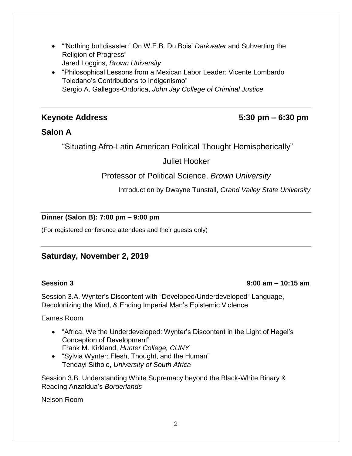- "'Nothing but disaster:' On W.E.B. Du Bois' *Darkwater* and Subverting the Religion of Progress" Jared Loggins, *Brown University*
- "Philosophical Lessons from a Mexican Labor Leader: Vicente Lombardo Toledano's Contributions to Indigenismo" Sergio A. Gallegos-Ordorica, *John Jay College of Criminal Justice*

### **Keynote Address 5:30 pm – 6:30 pm**

### **Salon A**

"Situating Afro-Latin American Political Thought Hemispherically"

#### Juliet Hooker

Professor of Political Science, *Brown University*

Introduction by Dwayne Tunstall, *Grand Valley State University*

#### **Dinner (Salon B): 7:00 pm – 9:00 pm**

(For registered conference attendees and their guests only)

### **Saturday, November 2, 2019**

#### **Session 3 9:00 am – 10:15 am**

Session 3.A. Wynter's Discontent with "Developed/Underdeveloped" Language, Decolonizing the Mind, & Ending Imperial Man's Epistemic Violence

Eames Room

- "Africa, We the Underdeveloped: Wynter's Discontent in the Light of Hegel's Conception of Development" Frank M. Kirkland, *Hunter College, CUNY*
- "Sylvia Wynter: Flesh, Thought, and the Human" Tendayi Sithole, *University of South Africa*

Session 3.B. Understanding White Supremacy beyond the Black-White Binary & Reading Anzaldua's *Borderlands*

Nelson Room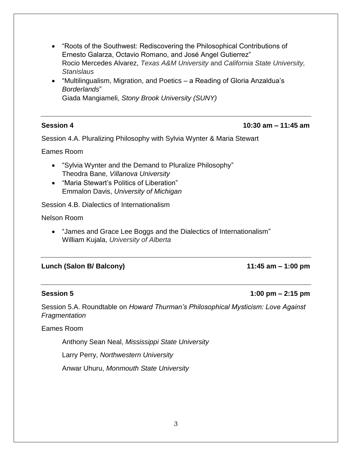- "Roots of the Southwest: Rediscovering the Philosophical Contributions of Ernesto Galarza, Octavio Romano, and José Angel Gutierrez" Rocio Mercedes Alvarez, *Texas A&M University* and *California State University, Stanislaus*
- "Multilingualism, Migration, and Poetics a Reading of Gloria Anzaldua's *Borderlands*" Giada Mangiameli, *Stony Brook University (SUNY)*

#### **Session 4 10:30 am – 11:45 am**

Session 4.A. Pluralizing Philosophy with Sylvia Wynter & Maria Stewart

Eames Room

- "Sylvia Wynter and the Demand to Pluralize Philosophy" Theodra Bane, *Villanova University*
- "Maria Stewart's Politics of Liberation" Emmalon Davis, *University of Michigan*

Session 4.B. Dialectics of Internationalism

Nelson Room

• "James and Grace Lee Boggs and the Dialectics of Internationalism" William Kujala, *University of Alberta*

#### **Lunch (Salon B/ Balcony) 11:45 am – 1:00 pm**

#### **Session 5 1:00 pm – 2:15 pm**

Session 5.A. Roundtable on *Howard Thurman's Philosophical Mysticism: Love Against Fragmentation*

Eames Room

Anthony Sean Neal, *Mississippi State University*

Larry Perry, *Northwestern University*

Anwar Uhuru, *Monmouth State University*